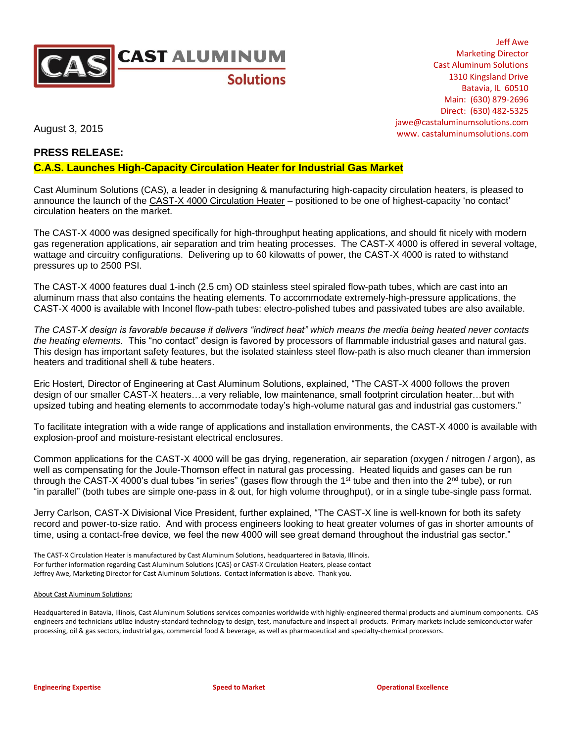

Jeff Awe Marketing Director Cast Aluminum Solutions 1310 Kingsland Drive Batavia, IL 60510 Main: (630) 879-2696 Direct: (630) 482-5325 jawe@castaluminumsolutions.com www. castaluminumsolutions.com

August 3, 2015

## **PRESS RELEASE:**

## **C.A.S. Launches High-Capacity Circulation Heater for Industrial Gas Market**

Cast Aluminum Solutions (CAS), a leader in designing & manufacturing high-capacity circulation heaters, is pleased to announce the launch of the CAST-X 4000 Circulation Heater – positioned to be one of highest-capacity 'no contact' circulation heaters on the market.

The CAST-X 4000 was designed specifically for high-throughput heating applications, and should fit nicely with modern gas regeneration applications, air separation and trim heating processes. The CAST-X 4000 is offered in several voltage, wattage and circuitry configurations. Delivering up to 60 kilowatts of power, the CAST-X 4000 is rated to withstand pressures up to 2500 PSI.

The CAST-X 4000 features dual 1-inch (2.5 cm) OD stainless steel spiraled flow-path tubes, which are cast into an aluminum mass that also contains the heating elements. To accommodate extremely-high-pressure applications, the CAST-X 4000 is available with Inconel flow-path tubes: electro-polished tubes and passivated tubes are also available.

*The CAST-X design is favorable because it delivers "indirect heat" which means the media being heated never contacts the heating elements.* This "no contact" design is favored by processors of flammable industrial gases and natural gas. This design has important safety features, but the isolated stainless steel flow-path is also much cleaner than immersion heaters and traditional shell & tube heaters.

Eric Hostert, Director of Engineering at Cast Aluminum Solutions, explained, "The CAST-X 4000 follows the proven design of our smaller CAST-X heaters…a very reliable, low maintenance, small footprint circulation heater…but with upsized tubing and heating elements to accommodate today's high-volume natural gas and industrial gas customers."

To facilitate integration with a wide range of applications and installation environments, the CAST-X 4000 is available with explosion-proof and moisture-resistant electrical enclosures.

Common applications for the CAST-X 4000 will be gas drying, regeneration, air separation (oxygen / nitrogen / argon), as well as compensating for the Joule-Thomson effect in natural gas processing. Heated liquids and gases can be run through the CAST-X 4000's dual tubes "in series" (gases flow through the 1<sup>st</sup> tube and then into the  $2^{nd}$  tube), or run "in parallel" (both tubes are simple one-pass in & out, for high volume throughput), or in a single tube-single pass format.

Jerry Carlson, CAST-X Divisional Vice President, further explained, "The CAST-X line is well-known for both its safety record and power-to-size ratio. And with process engineers looking to heat greater volumes of gas in shorter amounts of time, using a contact-free device, we feel the new 4000 will see great demand throughout the industrial gas sector."

The CAST-X Circulation Heater is manufactured by Cast Aluminum Solutions, headquartered in Batavia, Illinois. For further information regarding Cast Aluminum Solutions (CAS) or CAST-X Circulation Heaters, please contact Jeffrey Awe, Marketing Director for Cast Aluminum Solutions. Contact information is above. Thank you.

## About Cast Aluminum Solutions:

Headquartered in Batavia, Illinois, Cast Aluminum Solutions services companies worldwide with highly-engineered thermal products and aluminum components. CAS engineers and technicians utilize industry-standard technology to design, test, manufacture and inspect all products. Primary markets include semiconductor wafer processing, oil & gas sectors, industrial gas, commercial food & beverage, as well as pharmaceutical and specialty-chemical processors.